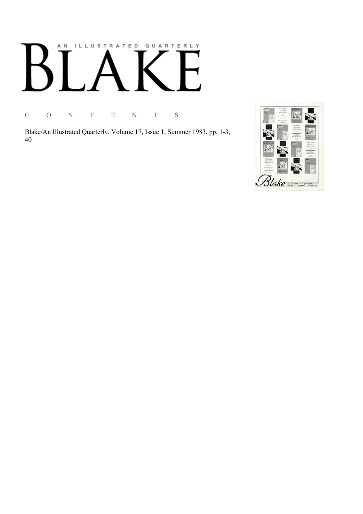# AN ILLUSTRATED QUARTERLY

C O N T E N T S

Blake/An Illustrated Quarterly, Volume 17, Issue 1, Summer 1983, pp. 1-3, 40

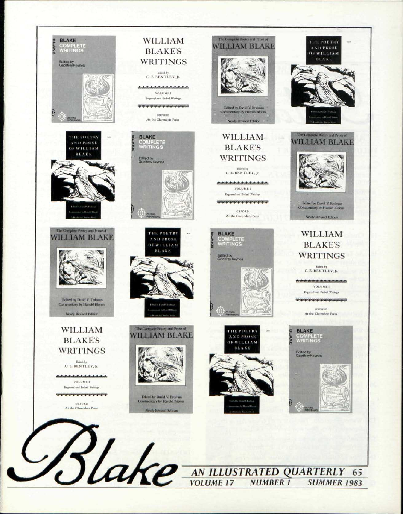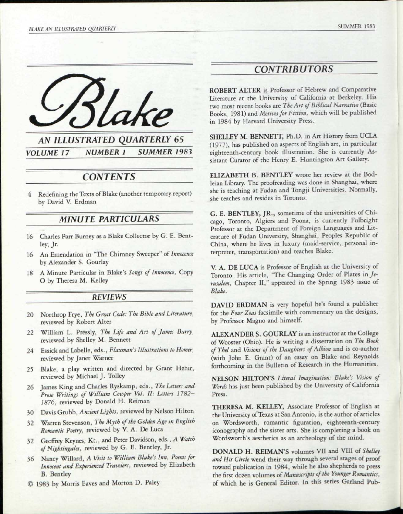



## *CONTENTS*

4 Redefining the Texts of Blake (another temporary report) by David V. Erdman

### *MINUTE PARTICULARS*

- 16 Charles Parr Burney as a Blake Collector by G. E. Bentley, Jr.
- 16 An Emendation in "The Chimney Sweeper" *of Innocence*  by Alexander S. Gourlay
- 18 A Minute Particular in Blake's *Songs of Innocence,* Copy O by Theresa M. Kelley

#### *REVIEWS*

- 20 Northrop Frye, *The Great Code: The Bible and Literature,*  reviewed by Robert Alter
- 22 William L. Pressly, *The Life and Art of James Barry,*  reviewed by Shelley M. Bennett
- 24 Essick and Labelle, eds., *Flaxman's Illustrations to Homer,*  reviewed by Janet Warner
- 25 Blake, a play written and directed by Grant Hehir, reviewed by Michael J. Tolley
- 26 James King and Charles Ryskamp, eds., *The Letters and Prose Writings of William Cowper Vol. II: Letters 1782- 1876,* reviewed by Donald H. Reiman
- 30 Davis Grubb, *Ancient Lights,* reviewed by Nelson Hilton
- 32 Warren Stevenson, *The Myth of the Golden Age in English Romantic Poetry,* reviewed by V. A. De Luca
- 32 Geoffrey Keynes, Kt., and Peter Davidson, eds., A *Watch*
- *of Nightingales,* reviewed by G. E. Bentley, Jr. 36 Nancy Willard, *A Visit to William Blake's Inn, Poems for Innocent and Experienced Travelers,* reviewed by Elizabeth
- B. Bentley © 1983 by Morris Eaves and Morton D. Paley

# *CONTRIBUTORS*

ROBERT ALTER is Professor of Hebrew and Comparative Literature at the University of California at Berkeley. His two most recent books are *The Art of Biblical Narrative* (Basic Books, 1981) and *Motives for Fiction,* which will be published in 1984 by Harvard University Press.

SHELLEY M. BENNETT, Ph.D. in Art History from UCLA (1977), has published on aspects of English art, in particular eighteenth-century book illustration. She is currently Assistant Curator of the Henry E. Huntington Art Gallery.

ELIZABETH B. BENTLEY wrote her review at the Bodleian Library. The proofreading was done in Shanghai, where she is teaching at Fudan and Tongji Universities. Normally, she teaches and resides in Toronto.

G. E. BENTLEY, JR., sometime of the universities of Chicago, Toronto, Algiers and Poona, is currently Fulbright Professor at the Department of Foreign Languages and Literature of Fudan University, Shanghai, Peoples Republic of China, where he lives in luxury (maid-service, personal interpreter, transportation) and teaches Blake.

V. A. DE LUCA is Professor of English at the University of Toronto. His article, "The Changing Order of Plates *in Jerusalem,* Chapter II," appeared in the Spring 1983 issue of *Blake.* 

DAVID ERDMAN is very hopeful he's found a publisher for the *Four Zoas* facsimile with commentary on the designs, by Professor Magno and himself.

ALEXANDER S. GOURLAY is an instructor at the College of Wooster (Ohio). He is writing a dissertation on *The Book ofThel* and *Visions of the Daughters of Albion* and is co-author (with John E. Grant) of an essay on Blake and Reynolds forthcoming in the Bulletin of Research in the Humanities.

NELSON HILTON'S *Literal Imagination: Blake's Vision of Words* has just been published by the University of California Press.

THERESA M. KELLEY, Associate Professor of English at the University of Texas at San Antonio, is the author of articles on Wordsworth, romantic figuration, eighteenth-century iconography and the sister arts. She is completing a book on Wordsworth's aesthetics as an archeology of the mind.

DONALD H. REIMAN'S volumes VII and VIII *of Shelley and His Circle* wend their way through several stages of proof toward publication in 1984, while he also shepherds to press the first dozen volumes *of Manuscripts of the Younger Romantics,*  of which he is General Editor. In this series Garland Pub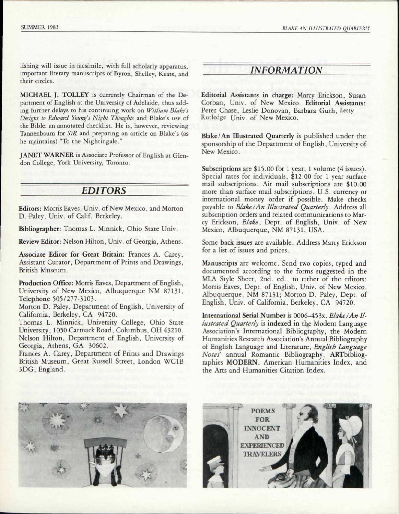lishing will issue in facsimile, with full scholarly apparatus, important literary manuscripts of Byron, Shelley, Keats, and their circles.

MICHAEL J. TOLLEY is currently Chairman of the Department of English at the University of Adelaide, thus adding further delays to his continuing work on *William Blake's Designs to Edward Young's Night Thoughts* and Blake's use of the Bible: an annotated checklist. He is, however, reviewing Tannenbaum for *SiR* and preparing an article on Blake's (as he maintains) "To the Nightingale."

JANET WARNER is Associate Professor of English at Glendon College, York University, Toronto.

## *EDITORS*

Editors: Morris Eaves, Univ. of New Mexico, and Morton D. Paley, Univ. of Calif, Berkeley.

Bibliographer: Thomas L. Minnick, Ohio State Univ.

Review Editor: Nelson Hilton, Univ. of Georgia, Athens.

Associate Editor for Great Britain: Frances A. Carey, Assistant Curator, Department of Prints and Drawings, British Museum.

Production Office: Morris Eaves, Department of English, University of New Mexico, Albuquerque NM 87131, Telephone 505/277-3103.

Morton D. Paley, Department of English, University of California, Berkeley, CA 94720.

Thomas L. Minnick, University College, Ohio State University, 1050 Carmack Road, Columbus, OH 43210. Nelson Hilton, Department of English, University of Georgia, Athens, GA 30602.

Frances A. Carey, Department of Prints and Drawings British Museum, Great Russell Street, London WClB 3DG, England.

## *INFORMATION*

Editorial Assistants in charge: Marcy Erickson, Susan Corban, Univ. of New Mexico. Editorial Assistants: Peter Chase, Leslie Donovan, Barbara Guth, Letty Rutledge Univ. of New Mexico.

Blake/An Illustrated Quarterly is published under the sponsorship of the Department of English, University of New Mexico.

Subscriptions are \$15.00 for 1 year, 1 volume (4 issues). Special rates for individuals, \$12.00 for 1 year surface mail subscriptions. Air mail subscriptions are \$10.00 more than surface mail subscriptions. U.S. currency or international money order if possible. Make checks payable to *Blake I An Illustrated Quarterly.* Address all subscription orders and related communications to Marcy Erickson, *Blake,* Dept. of English, Univ. of New Mexico, Albuquerque, NM 87131, USA.

Some back issues are available. Address Marcy Erickson for a list of issues and prices.

Manuscripts are welcome. Send two copies, typed and documented according to the forms suggested in the MLA Style Sheet, 2nd. ed., to either of the editors: Morris Eaves, Dept. of English, Univ. of New Mexico, Albuquerque, NM 87131; Morton D. Paley, Dept. of English, Univ. of California, Berkeley, CA 94720.

International Serial Number is 0006-453x. Blake/An Il*lustrated Quarterly* is indexed in the Modern Language Association's International Bibliography, the Modern Humanities Research Association's Annual Bibliography of English Language and Literature, *English Language Notes'* annual Romantic Bibliography, ARTbibliographies MODERN, American Humanities Index, and the Arts and Humanities Citation Index.